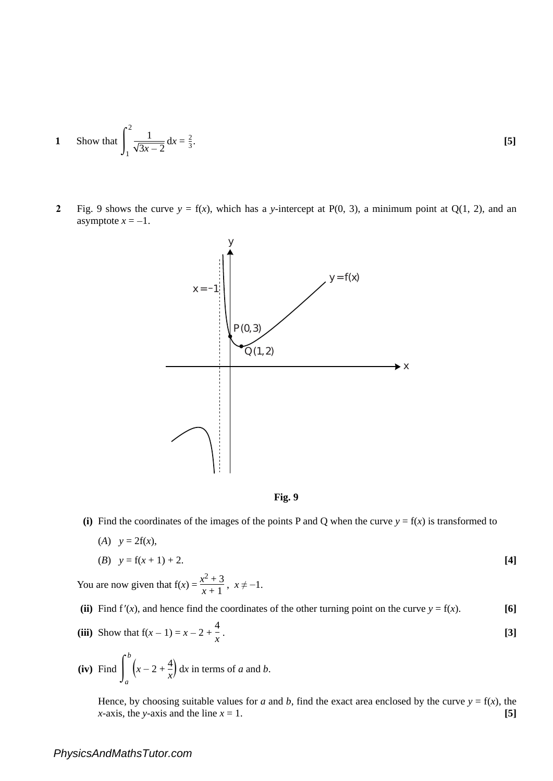1 Show that 
$$
\int_{1}^{2} \frac{1}{\sqrt{3x - 2}} dx = \frac{2}{3}.
$$
 [5]

**2** Fig. 9 shows the curve  $y = f(x)$ , which has a *y*-intercept at P(0, 3), a minimum point at Q(1, 2), and an asymptote  $x = -1$ .





(i) Find the coordinates of the images of the points P and Q when the curve  $y = f(x)$  is transformed to

$$
(A) \quad y = 21(x),
$$
  
(B) \quad y = f(x+1) + 2.

You are now given that  $f(x) = \frac{x^2}{x}$ 2  $+$  $\frac{+3}{+1}$ ,  $x \neq -1$ .

- (ii) Find  $f'(x)$ , and hence find the coordinates of the other turning point on the curve  $y = f(x)$ . [6]
- **(iii)** Show that  $f(x 1) = x 2 +$ 4 *x* . **[3]**
- $(iv)$  Find  $\int_{0}^{1}$ *b a*  $\left(x-2+\frac{4}{x}\right)$  dx in terms of *a* and *b*.

Hence, by choosing suitable values for *a* and *b*, find the exact area enclosed by the curve  $y = f(x)$ , the *x*-axis, the *y*-axis and the line  $x = 1$ . [5]

## *PhysicsAndMathsTutor.com*

 $(4)$   $(26)$